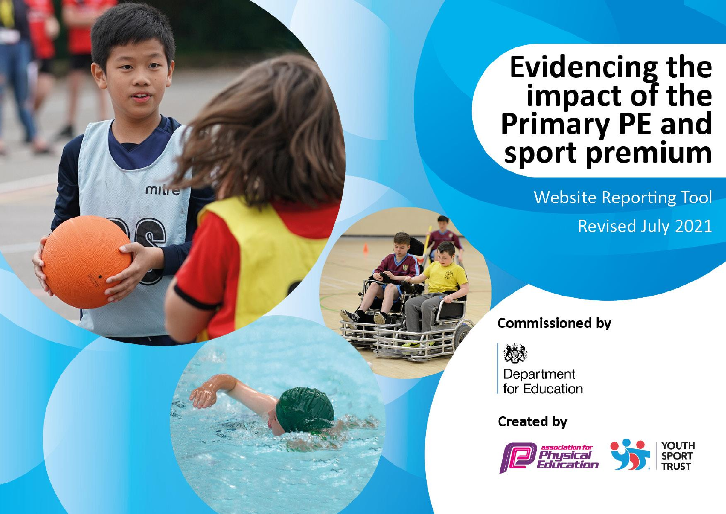## Evidencing the<br>
impact of the<br>
Primary PE and<br>
sport premium

**Website Reporting Tool Revised July 2021** 

**Commissioned by** 



mille

Department for Education

**Created by** 

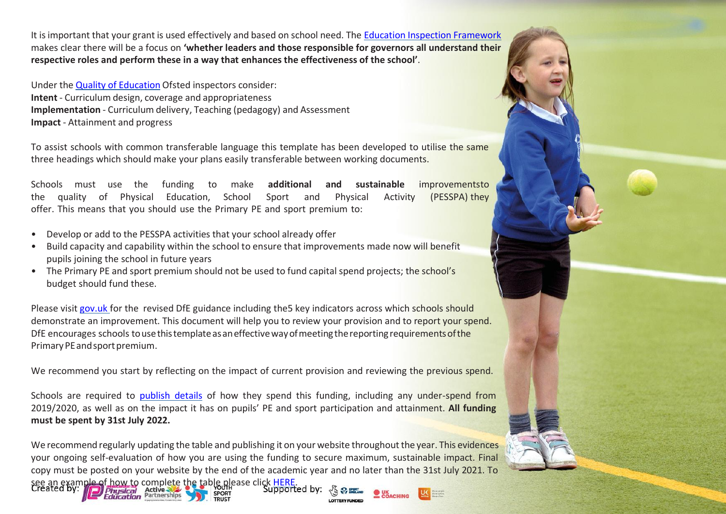It isimportant that your grant is used effectively and based on school need. The Education Inspection [Framework](https://assets.publishing.service.gov.uk/government/uploads/system/uploads/attachment_data/file/843108/School_inspection_handbook_-_section_5.pdf) makes clear there will be a focus on **'whether leaders and those responsible for governors all understand their respective roles and perform these in a way that enhances the effectiveness of the school'**.

Under the Quality of [Education](https://assets.publishing.service.gov.uk/government/uploads/system/uploads/attachment_data/file/843108/School_inspection_handbook_-_section_5.pdf) Ofsted inspectors consider: **Intent** - Curriculum design, coverage and appropriateness **Implementation** - Curriculum delivery, Teaching (pedagogy) and Assessment **Impact** - Attainment and progress

To assist schools with common transferable language this template has been developed to utilise the same three headings which should make your plans easily transferable between working documents.

Schools must use the funding to make **additional and sustainable** improvementsto the quality of Physical Education, School Sport and Physical Activity (PESSPA) they offer. This means that you should use the Primary PE and sport premium to:

- Develop or add to the PESSPA activities that your school already offer
- Build capacity and capability within the school to ensure that improvements made now will benefit pupils joining the school in future years
- The Primary PE and sport premium should not be used to fund capital spend projects; the school's budget should fund these.

Please visit [gov.uk](https://www.gov.uk/guidance/pe-and-sport-premium-for-primary-schools) for the revised DfE guidance including the5 key indicators across which schools should demonstrate an improvement. This document will help you to review your provision and to report your spend. DfE encourages schools to use this template as an effective way of meeting the reporting requirements of the Primary PE and sport premium.

We recommend you start by reflecting on the impact of current provision and reviewing the previous spend.

Schools are required to [publish details](https://www.gov.uk/guidance/what-maintained-schools-must-publish-online#pe-and-sport-premium-for-primary-schools) of how they spend this funding, including any under-spend from 2019/2020, as well as on the impact it has on pupils' PE and sport participation and attainment. **All funding must be spent by 31st July 2022.**

We recommend regularly updating the table and publishing it on your website throughout the year. This evidences your ongoing self-evaluation of how you are using the funding to secure maximum, sustainable impact. Final copy must be posted on your website by the end of the academic year and no later than the 31st July 2021. To see an example of how to complete the table please click [HERE.](http://www.afpe.org.uk/physical-education/wp-content/uploads/afPE-Example-Template-Indicator-2018-Final.pdf)<br>Created by: **Thusical** Active Active Reserves the Supported by:

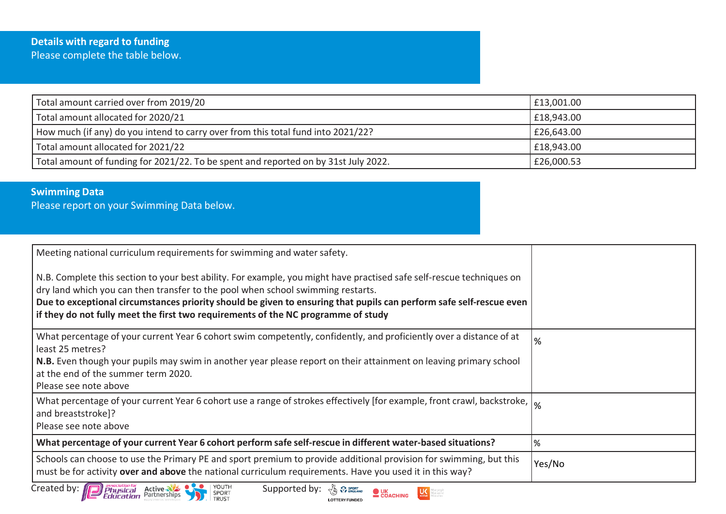| Total amount carried over from 2019/20                                              | £13,001.00 |
|-------------------------------------------------------------------------------------|------------|
| Total amount allocated for 2020/21                                                  | £18,943.00 |
| How much (if any) do you intend to carry over from this total fund into 2021/22?    | £26,643.00 |
| Total amount allocated for 2021/22                                                  | £18,943.00 |
| Total amount of funding for 2021/22. To be spent and reported on by 31st July 2022. | £26,000.53 |

## **Swimming Data**

Please report on your Swimming Data below.

| Meeting national curriculum requirements for swimming and water safety.                                                                                                                                                                                                                                                                                                                                              |        |
|----------------------------------------------------------------------------------------------------------------------------------------------------------------------------------------------------------------------------------------------------------------------------------------------------------------------------------------------------------------------------------------------------------------------|--------|
| N.B. Complete this section to your best ability. For example, you might have practised safe self-rescue techniques on<br>dry land which you can then transfer to the pool when school swimming restarts.<br>Due to exceptional circumstances priority should be given to ensuring that pupils can perform safe self-rescue even<br>if they do not fully meet the first two requirements of the NC programme of study |        |
| What percentage of your current Year 6 cohort swim competently, confidently, and proficiently over a distance of at<br>least 25 metres?                                                                                                                                                                                                                                                                              | %      |
| N.B. Even though your pupils may swim in another year please report on their attainment on leaving primary school<br>at the end of the summer term 2020.<br>Please see note above                                                                                                                                                                                                                                    |        |
| What percentage of your current Year 6 cohort use a range of strokes effectively [for example, front crawl, backstroke, $ _v$<br>and breaststroke]?<br>Please see note above                                                                                                                                                                                                                                         |        |
| What percentage of your current Year 6 cohort perform safe self-rescue in different water-based situations?                                                                                                                                                                                                                                                                                                          | l%     |
| Schools can choose to use the Primary PE and sport premium to provide additional provision for swimming, but this<br>must be for activity over and above the national curriculum requirements. Have you used it in this way?                                                                                                                                                                                         | Yes/No |

LOTTERY FUNDED



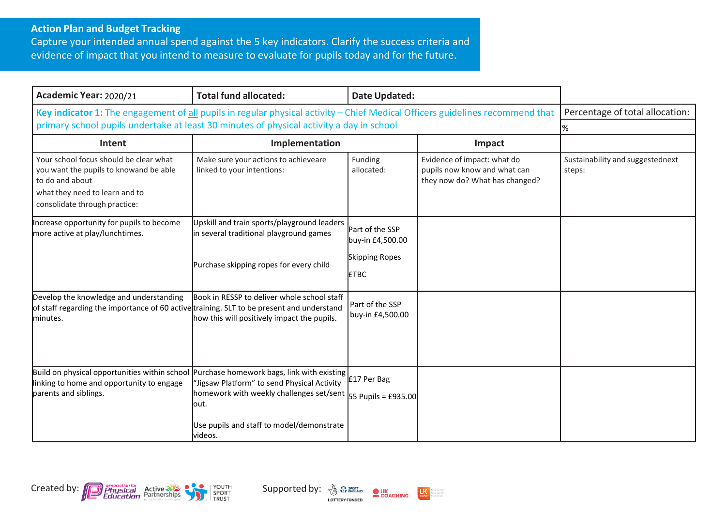## **Action Plan and Budget Tracking**

Capture your intended annual spend against the 5 key indicators. Clarify the success criteria and evidence of impact that you intend to measure to evaluate for pupils today and for the future.

| Academic Year: 2020/21                                                                                                                                                                                                    | <b>Total fund allocated:</b>                                                                                                                                                                                                      | <b>Date Updated:</b>                 |                                                                                               |                                            |
|---------------------------------------------------------------------------------------------------------------------------------------------------------------------------------------------------------------------------|-----------------------------------------------------------------------------------------------------------------------------------------------------------------------------------------------------------------------------------|--------------------------------------|-----------------------------------------------------------------------------------------------|--------------------------------------------|
| Key indicator 1: The engagement of all pupils in regular physical activity - Chief Medical Officers guidelines recommend that<br>primary school pupils undertake at least 30 minutes of physical activity a day in school | Percentage of total allocation:<br>%                                                                                                                                                                                              |                                      |                                                                                               |                                            |
| Intent                                                                                                                                                                                                                    | Implementation                                                                                                                                                                                                                    |                                      | Impact                                                                                        |                                            |
| Your school focus should be clear what<br>you want the pupils to knowand be able<br>to do and about<br>what they need to learn and to<br>consolidate through practice:                                                    | Make sure your actions to achieveare<br>linked to your intentions:                                                                                                                                                                | Funding<br>allocated:                | Evidence of impact: what do<br>pupils now know and what can<br>they now do? What has changed? | Sustainability and suggestednext<br>steps: |
| Increase opportunity for pupils to become<br>more active at play/lunchtimes.                                                                                                                                              | Upskill and train sports/playground leaders<br>in several traditional playground games                                                                                                                                            | Part of the SSP<br>buy-in £4,500.00  |                                                                                               |                                            |
|                                                                                                                                                                                                                           | Purchase skipping ropes for every child                                                                                                                                                                                           | <b>Skipping Ropes</b><br><b>ETBC</b> |                                                                                               |                                            |
| Develop the knowledge and understanding<br>of staff regarding the importance of 60 active training. SLT to be present and understand<br>minutes.                                                                          | Book in RESSP to deliver whole school staff<br>how this will positively impact the pupils.                                                                                                                                        | Part of the SSP<br>buy-in £4,500.00  |                                                                                               |                                            |
| Build on physical opportunities within school<br>linking to home and opportunity to engage<br>parents and siblings.                                                                                                       | Purchase homework bags, link with existing<br>"Jigsaw Platform" to send Physical Activity<br>homework with weekly challenges set/sent $ _{55}$ Pupils = £935.00<br>lout.<br>Use pupils and staff to model/demonstrate<br>lvideos. | £17 Per Bag                          |                                                                                               |                                            |





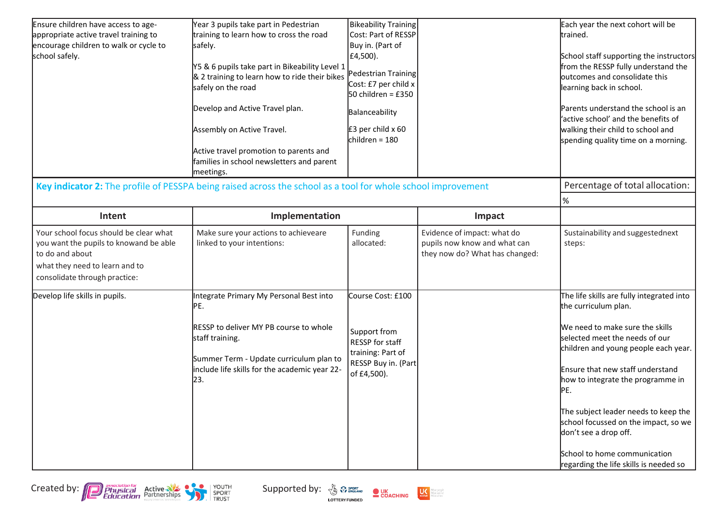| Ensure children have access to age-    | Year 3 pupils take part in Pedestrian                                                                        | <b>Bikeability Training</b> |                                | Each year the next cohort will be                                          |
|----------------------------------------|--------------------------------------------------------------------------------------------------------------|-----------------------------|--------------------------------|----------------------------------------------------------------------------|
| appropriate active travel training to  | training to learn how to cross the road                                                                      | Cost: Part of RESSP         |                                | trained.                                                                   |
| encourage children to walk or cycle to | safely.                                                                                                      | Buy in. (Part of            |                                |                                                                            |
| school safely.                         |                                                                                                              | £4,500).                    |                                | School staff supporting the instructors                                    |
|                                        | Y5 & 6 pupils take part in Bikeability Level 1                                                               |                             |                                | from the RESSP fully understand the                                        |
|                                        | $\vert$ & 2 training to learn how to ride their bikes $\vert$ Pedestrian Training                            | Cost: £7 per child x        |                                | outcomes and consolidate this                                              |
|                                        | safely on the road                                                                                           | 50 children = £350          |                                | learning back in school.                                                   |
|                                        |                                                                                                              |                             |                                |                                                                            |
|                                        | Develop and Active Travel plan.                                                                              | Balanceability              |                                | Parents understand the school is an<br>'active school' and the benefits of |
|                                        | Assembly on Active Travel.                                                                                   | $£3$ per child x 60         |                                | walking their child to school and                                          |
|                                        |                                                                                                              | children = 180              |                                | spending quality time on a morning.                                        |
|                                        | Active travel promotion to parents and                                                                       |                             |                                |                                                                            |
|                                        | families in school newsletters and parent                                                                    |                             |                                |                                                                            |
|                                        | meetings.                                                                                                    |                             |                                |                                                                            |
|                                        | Key indicator 2: The profile of PESSPA being raised across the school as a tool for whole school improvement |                             |                                | Percentage of total allocation:                                            |
|                                        |                                                                                                              |                             |                                | $\%$                                                                       |
|                                        |                                                                                                              |                             |                                |                                                                            |
| Intent                                 | Implementation                                                                                               |                             | Impact                         |                                                                            |
| Your school focus should be clear what | Make sure your actions to achieveare                                                                         | Funding                     | Evidence of impact: what do    | Sustainability and suggestednext                                           |
| you want the pupils to knowand be able | linked to your intentions:                                                                                   | allocated:                  | pupils now know and what can   | steps:                                                                     |
| to do and about                        |                                                                                                              |                             | they now do? What has changed: |                                                                            |
| what they need to learn and to         |                                                                                                              |                             |                                |                                                                            |
| consolidate through practice:          |                                                                                                              |                             |                                |                                                                            |
| Develop life skills in pupils.         | Integrate Primary My Personal Best into                                                                      | Course Cost: £100           |                                | The life skills are fully integrated into                                  |
|                                        | PE.                                                                                                          |                             |                                | the curriculum plan.                                                       |
|                                        |                                                                                                              |                             |                                |                                                                            |
|                                        | <b>RESSP to deliver MY PB course to whole</b>                                                                | Support from                |                                | We need to make sure the skills                                            |
|                                        | staff training.                                                                                              | <b>RESSP</b> for staff      |                                | selected meet the needs of our                                             |
|                                        |                                                                                                              | training: Part of           |                                | children and young people each year.                                       |
|                                        | Summer Term - Update curriculum plan to                                                                      | RESSP Buy in. (Part         |                                |                                                                            |
|                                        | include life skills for the academic year 22-                                                                | of £4,500).                 |                                | Ensure that new staff understand                                           |
|                                        | 23.                                                                                                          |                             |                                | how to integrate the programme in                                          |
|                                        |                                                                                                              |                             |                                | PE.                                                                        |
|                                        |                                                                                                              |                             |                                | The subject leader needs to keep the                                       |
|                                        |                                                                                                              |                             |                                | school focussed on the impact, so we                                       |
|                                        |                                                                                                              |                             |                                | don't see a drop off.                                                      |
|                                        |                                                                                                              |                             |                                |                                                                            |
|                                        |                                                                                                              |                             |                                | School to home communication                                               |
|                                        |                                                                                                              |                             |                                | regarding the life skills is needed so                                     |



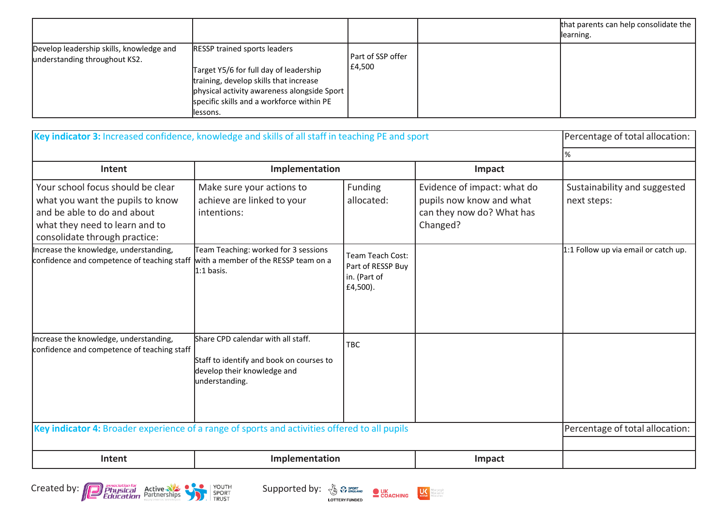|                                                                           |                                                                                                                                                                                                                                  |                               | that parents can help consolidate the<br>llearning. |
|---------------------------------------------------------------------------|----------------------------------------------------------------------------------------------------------------------------------------------------------------------------------------------------------------------------------|-------------------------------|-----------------------------------------------------|
| Develop leadership skills, knowledge and<br>understanding throughout KS2. | <b>RESSP</b> trained sports leaders<br>Target Y5/6 for full day of leadership<br>training, develop skills that increase<br>physical activity awareness alongside Sport<br>specific skills and a workforce within PE<br>llessons. | l Part of SSP offer<br>£4,500 |                                                     |

| Key indicator 3: Increased confidence, knowledge and skills of all staff in teaching PE and sport                                                                       |                                                                                                                                 |                                                                   |                                                                                                  | Percentage of total allocation:             |
|-------------------------------------------------------------------------------------------------------------------------------------------------------------------------|---------------------------------------------------------------------------------------------------------------------------------|-------------------------------------------------------------------|--------------------------------------------------------------------------------------------------|---------------------------------------------|
|                                                                                                                                                                         |                                                                                                                                 |                                                                   |                                                                                                  | %                                           |
| Intent                                                                                                                                                                  | Implementation                                                                                                                  |                                                                   | Impact                                                                                           |                                             |
| Your school focus should be clear<br>what you want the pupils to know<br>and be able to do and about<br>what they need to learn and to<br>consolidate through practice: | Make sure your actions to<br>achieve are linked to your<br>intentions:                                                          | Funding<br>allocated:                                             | Evidence of impact: what do<br>pupils now know and what<br>can they now do? What has<br>Changed? | Sustainability and suggested<br>next steps: |
| Increase the knowledge, understanding,<br>confidence and competence of teaching staff with a member of the RESSP team on a                                              | Team Teaching: worked for 3 sessions<br>1:1 basis.                                                                              | Team Teach Cost:<br>Part of RESSP Buy<br>in. (Part of<br>£4,500). |                                                                                                  | 1:1 Follow up via email or catch up.        |
| Increase the knowledge, understanding,<br>confidence and competence of teaching staff                                                                                   | Share CPD calendar with all staff.<br>Staff to identify and book on courses to<br>develop their knowledge and<br>understanding. | <b>TBC</b>                                                        |                                                                                                  |                                             |
| Key indicator 4: Broader experience of a range of sports and activities offered to all pupils                                                                           |                                                                                                                                 |                                                                   |                                                                                                  | Percentage of total allocation:             |
|                                                                                                                                                                         |                                                                                                                                 |                                                                   |                                                                                                  |                                             |
| Intent                                                                                                                                                                  | Implementation                                                                                                                  |                                                                   | Impact                                                                                           |                                             |



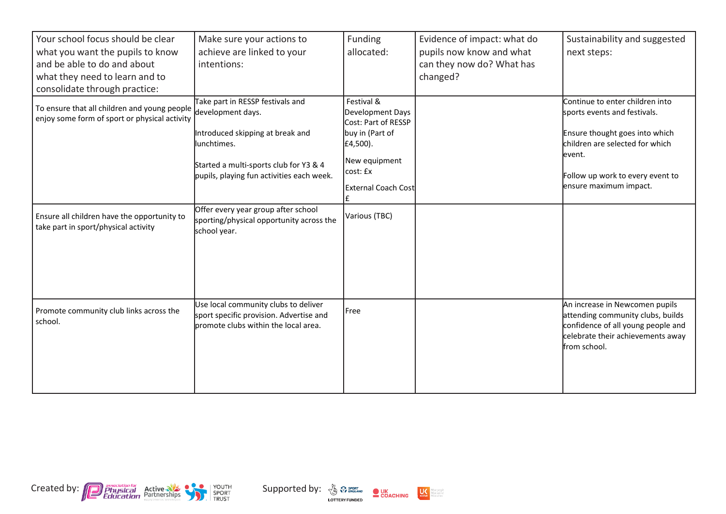| Your school focus should be clear<br>what you want the pupils to know<br>and be able to do and about<br>what they need to learn and to<br>consolidate through practice: | Make sure your actions to<br>achieve are linked to your<br>intentions:                                                                                                                          | Funding<br>allocated:                                                                                                                           | Evidence of impact: what do<br>pupils now know and what<br>can they now do? What has<br>changed? | Sustainability and suggested<br>next steps:                                                                                                                                                                   |
|-------------------------------------------------------------------------------------------------------------------------------------------------------------------------|-------------------------------------------------------------------------------------------------------------------------------------------------------------------------------------------------|-------------------------------------------------------------------------------------------------------------------------------------------------|--------------------------------------------------------------------------------------------------|---------------------------------------------------------------------------------------------------------------------------------------------------------------------------------------------------------------|
| To ensure that all children and young people<br>enjoy some form of sport or physical activity                                                                           | Take part in RESSP festivals and<br>development days.<br>Introduced skipping at break and<br>lunchtimes.<br>Started a multi-sports club for Y3 & 4<br>pupils, playing fun activities each week. | Festival &<br>Development Days<br>Cost: Part of RESSP<br>buy in (Part of<br>£4,500).<br>New equipment<br>cost: £x<br><b>External Coach Cost</b> |                                                                                                  | Continue to enter children into<br>sports events and festivals.<br>Ensure thought goes into which<br>children are selected for which<br>levent.<br>Follow up work to every event to<br>ensure maximum impact. |
| Ensure all children have the opportunity to<br>take part in sport/physical activity                                                                                     | Offer every year group after school<br>sporting/physical opportunity across the<br>school year.                                                                                                 | Various (TBC)                                                                                                                                   |                                                                                                  |                                                                                                                                                                                                               |
| Promote community club links across the<br>school.                                                                                                                      | Use local community clubs to deliver<br>sport specific provision. Advertise and<br>promote clubs within the local area.                                                                         | Free                                                                                                                                            |                                                                                                  | An increase in Newcomen pupils<br>attending community clubs, builds<br>confidence of all young people and<br>celebrate their achievements away<br>from school.                                                |